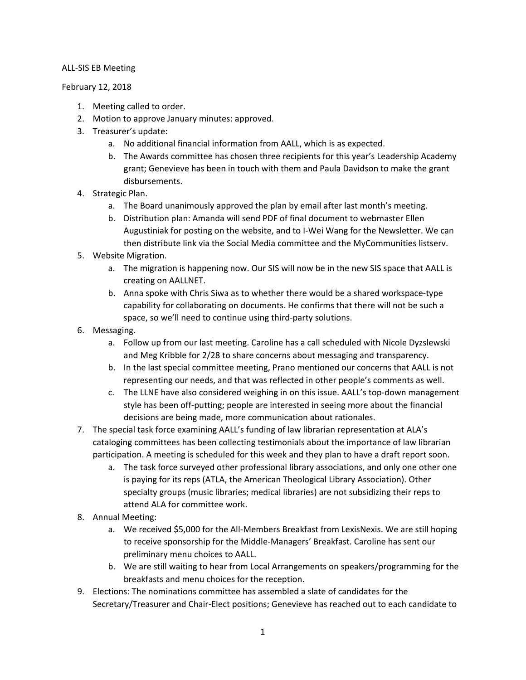## ALL-SIS EB Meeting

February 12, 2018

- 1. Meeting called to order.
- 2. Motion to approve January minutes: approved.
- 3. Treasurer's update:
	- a. No additional financial information from AALL, which is as expected.
	- b. The Awards committee has chosen three recipients for this year's Leadership Academy grant; Genevieve has been in touch with them and Paula Davidson to make the grant disbursements.
- 4. Strategic Plan.
	- a. The Board unanimously approved the plan by email after last month's meeting.
	- b. Distribution plan: Amanda will send PDF of final document to webmaster Ellen Augustiniak for posting on the website, and to I-Wei Wang for the Newsletter. We can then distribute link via the Social Media committee and the MyCommunities listserv.
- 5. Website Migration.
	- a. The migration is happening now. Our SIS will now be in the new SIS space that AALL is creating on AALLNET.
	- b. Anna spoke with Chris Siwa as to whether there would be a shared workspace-type capability for collaborating on documents. He confirms that there will not be such a space, so we'll need to continue using third-party solutions.
- 6. Messaging.
	- a. Follow up from our last meeting. Caroline has a call scheduled with Nicole Dyzslewski and Meg Kribble for 2/28 to share concerns about messaging and transparency.
	- b. In the last special committee meeting, Prano mentioned our concerns that AALL is not representing our needs, and that was reflected in other people's comments as well.
	- c. The LLNE have also considered weighing in on this issue. AALL's top-down management style has been off-putting; people are interested in seeing more about the financial decisions are being made, more communication about rationales.
- 7. The special task force examining AALL's funding of law librarian representation at ALA's cataloging committees has been collecting testimonials about the importance of law librarian participation. A meeting is scheduled for this week and they plan to have a draft report soon.
	- a. The task force surveyed other professional library associations, and only one other one is paying for its reps (ATLA, the American Theological Library Association). Other specialty groups (music libraries; medical libraries) are not subsidizing their reps to attend ALA for committee work.
- 8. Annual Meeting:
	- a. We received \$5,000 for the All-Members Breakfast from LexisNexis. We are still hoping to receive sponsorship for the Middle-Managers' Breakfast. Caroline has sent our preliminary menu choices to AALL.
	- b. We are still waiting to hear from Local Arrangements on speakers/programming for the breakfasts and menu choices for the reception.
- 9. Elections: The nominations committee has assembled a slate of candidates for the Secretary/Treasurer and Chair-Elect positions; Genevieve has reached out to each candidate to